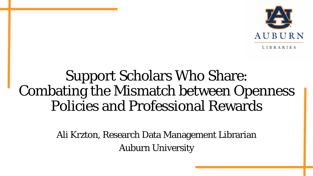

#### Support Scholars Who Share: Combating the Mismatch between Openness Policies and Professional Rewards

Ali Krzton, Research Data Management Librarian Auburn University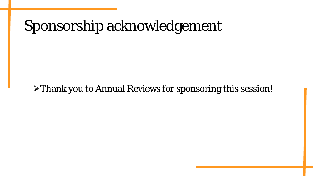### Sponsorship acknowledgement

#### Thank you to Annual Reviews for sponsoring this session!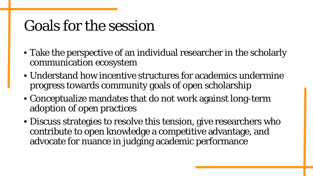### Goals for the session

- Take the perspective of an individual researcher in the scholarly communication ecosystem
- Understand how incentive structures for academics undermine progress towards community goals of open scholarship
- Conceptualize mandates that do not work against long-term adoption of open practices
- Discuss strategies to resolve this tension, give researchers who contribute to open knowledge a competitive advantage, and advocate for nuance in judging academic performance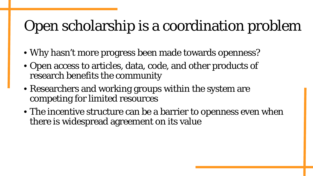# Open scholarship is a coordination problem

- Why hasn't more progress been made towards openness?
- Open access to articles, data, code, and other products of research benefits the community
- Researchers and working groups within the system are competing for limited resources
- The incentive structure can be a barrier to openness even when there is widespread agreement on its value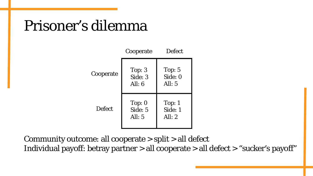#### Prisoner's dilemma

|               | Cooperate                       | <b>Defect</b>                   |
|---------------|---------------------------------|---------------------------------|
| Cooperate     | Top: $3$<br>Side: 3<br>All: $6$ | Top: $5$<br>Side: 0<br>All: $5$ |
| <b>Defect</b> | Top: $0$<br>Side: 5<br>All: $5$ | Top:1<br>Side: 1<br>All: $2$    |

Community outcome: all cooperate > split > all defect Individual payoff: betray partner > all cooperate > all defect > "sucker's payoff"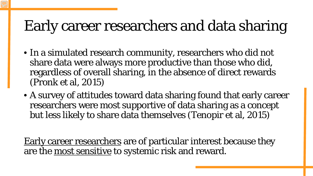## Early career researchers and data sharing

- In a simulated research community, researchers who did not share data were always more productive than those who did, regardless of overall sharing, in the absence of direct rewards (Pronk et al, 2015)
- A survey of attitudes toward data sharing found that early career researchers were most supportive of data sharing as a concept but less likely to share data themselves (Tenopir et al, 2015)

Early career researchers are of particular interest because they are the most sensitive to systemic risk and reward.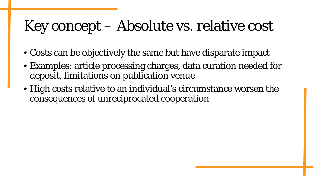# Key concept – Absolute vs. relative cost

- Costs can be objectively the same but have disparate impact
- Examples: article processing charges, data curation needed for deposit, limitations on publication venue
- High costs relative to an individual's circumstance worsen the consequences of unreciprocated cooperation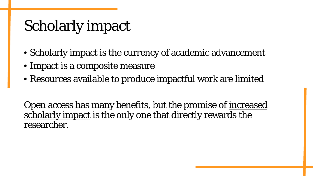## Scholarly impact

- Scholarly impact is the currency of academic advancement
- Impact is a composite measure
- Resources available to produce impactful work are limited

Open access has many benefits, but the promise of <u>increased</u> scholarly impact is the only one that directly rewards the researcher.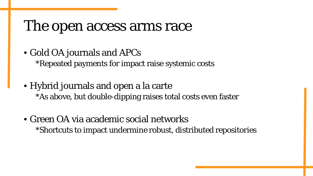#### The open access arms race

- Gold OA journals and APCs \*Repeated payments for impact raise systemic costs
- Hybrid journals and open a la carte \*As above, but double-dipping raises total costs even faster
- Green OA via academic social networks \*Shortcuts to impact undermine robust, distributed repositories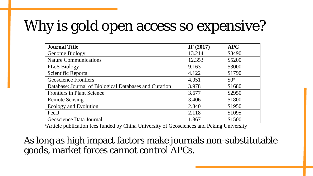# Why is gold open access so expensive?

| <b>Journal Title</b>                                   | IF $(2017)$ | <b>APC</b> |
|--------------------------------------------------------|-------------|------------|
| Genome Biology                                         | 13.214      | \$3490     |
| <b>Nature Communications</b>                           | 12.353      | \$5200     |
| <b>PLoS Biology</b>                                    | 9.163       | \$3000     |
| <b>Scientific Reports</b>                              | 4.122       | \$1790     |
| <b>Geoscience Frontiers</b>                            | 4.051       | $$0^a$$    |
| Database: Journal of Biological Databases and Curation | 3.978       | \$1680     |
| <b>Frontiers in Plant Science</b>                      | 3.677       | \$2950     |
| <b>Remote Sensing</b>                                  | 3.406       | \$1800     |
| <b>Ecology and Evolution</b>                           | 2.340       | \$1950     |
| PeerJ                                                  | 2.118       | \$1095     |
| Geoscience Data Journal                                | 1.867       | \$1500     |

<sup>a</sup> Article publication fees funded by China University of Geosciences and Peking University

As long as high impact factors make journals non-substitutable goods, market forces cannot control APCs.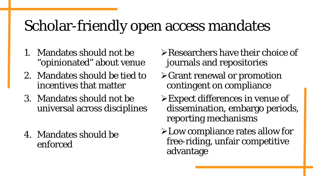## Scholar-friendly open access mandates

- 1. Mandates should not be "opinionated" about venue
- 2. Mandates should be tied to incentives that matter
- 3. Mandates should not be universal across disciplines
- 4. Mandates should be enforced
- Researchers have their choice of journals and repositories
- $\triangleright$  Grant renewal or promotion contingent on compliance
- Expect differences in venue of dissemination, embargo periods, reporting mechanisms
- Low compliance rates allow for free-riding, unfair competitive advantage